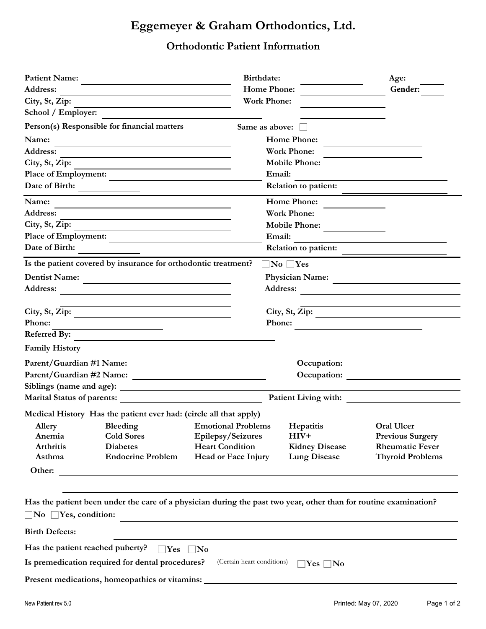## **Eggemeyer & Graham Orthodontics, Ltd.**

## **Orthodontic Patient Information**

| <b>Patient Name:</b>             |                                                                                                                  | Birthdate:                                                                                                           |                                                                              | Age:                                                                            |  |
|----------------------------------|------------------------------------------------------------------------------------------------------------------|----------------------------------------------------------------------------------------------------------------------|------------------------------------------------------------------------------|---------------------------------------------------------------------------------|--|
| Address:                         |                                                                                                                  | <b>Home Phone:</b>                                                                                                   |                                                                              | Gender:                                                                         |  |
| City, St, Zip:                   |                                                                                                                  | <b>Work Phone:</b>                                                                                                   |                                                                              |                                                                                 |  |
| School / Employer:               |                                                                                                                  |                                                                                                                      |                                                                              |                                                                                 |  |
|                                  | Person(s) Responsible for financial matters                                                                      | Same as above: $\Box$                                                                                                |                                                                              |                                                                                 |  |
| Name:                            |                                                                                                                  |                                                                                                                      | <b>Home Phone:</b>                                                           |                                                                                 |  |
| Address:                         |                                                                                                                  |                                                                                                                      | <b>Work Phone:</b>                                                           |                                                                                 |  |
| City, St, Zip:                   |                                                                                                                  |                                                                                                                      | <b>Mobile Phone:</b>                                                         |                                                                                 |  |
| Place of Employment:             |                                                                                                                  |                                                                                                                      | Email:                                                                       |                                                                                 |  |
| Date of Birth:                   |                                                                                                                  |                                                                                                                      | <b>Relation to patient:</b>                                                  |                                                                                 |  |
| Name:                            |                                                                                                                  |                                                                                                                      | <b>Home Phone:</b>                                                           |                                                                                 |  |
| Address:                         |                                                                                                                  |                                                                                                                      | <b>Work Phone:</b>                                                           |                                                                                 |  |
| City, St, Zip:                   |                                                                                                                  |                                                                                                                      | <b>Mobile Phone:</b>                                                         |                                                                                 |  |
|                                  | Place of Employment:                                                                                             |                                                                                                                      | Email:                                                                       |                                                                                 |  |
| Date of Birth:                   |                                                                                                                  |                                                                                                                      | <b>Relation to patient:</b>                                                  |                                                                                 |  |
|                                  | Is the patient covered by insurance for orthodontic treatment?                                                   |                                                                                                                      | $\square$ No $\square$ Yes                                                   |                                                                                 |  |
| <b>Dentist Name:</b>             | <u> 1989 - Andrea Station Books, amerikansk politik (</u>                                                        |                                                                                                                      | <b>Physician Name:</b>                                                       | <u> 1980 - Jan Samuel Barbara, político e a f</u>                               |  |
| Address:                         |                                                                                                                  |                                                                                                                      | <b>Address:</b>                                                              | <u> 1980 - Andrea Andrew Maria (h. 1980).</u><br>1901 - Andrew Maria (h. 1902). |  |
|                                  | City, St, Zip:                                                                                                   |                                                                                                                      |                                                                              |                                                                                 |  |
| Phone:                           | <u> 1989 - Johann Barn, amerikansk politiker (</u>                                                               |                                                                                                                      | City, St, Zip:<br>Phone:<br><u> 1986 - Johann Stein, fransk kampens og f</u> |                                                                                 |  |
|                                  | Referred By:                                                                                                     |                                                                                                                      |                                                                              |                                                                                 |  |
| <b>Family History</b>            |                                                                                                                  |                                                                                                                      |                                                                              |                                                                                 |  |
|                                  |                                                                                                                  |                                                                                                                      |                                                                              |                                                                                 |  |
|                                  |                                                                                                                  |                                                                                                                      | Occupation:                                                                  |                                                                                 |  |
|                                  |                                                                                                                  |                                                                                                                      |                                                                              |                                                                                 |  |
|                                  | Marital Status of parents: National Assembly of the Status of parents:                                           |                                                                                                                      | Patient Living with:                                                         |                                                                                 |  |
|                                  | Medical History Has the patient ever had: (circle all that apply)                                                |                                                                                                                      |                                                                              |                                                                                 |  |
|                                  | Allery Bleeding Emotional Problems Hepatitis                                                                     |                                                                                                                      |                                                                              | <b>Oral Ulcer</b>                                                               |  |
| Anemia                           | <b>Cold Sores</b>                                                                                                | Epilepsy/Seizures                                                                                                    | $HIV+$                                                                       | <b>Previous Surgery</b>                                                         |  |
| <b>Arthritis</b>                 | <b>Diabetes</b>                                                                                                  | <b>Heart Condition</b>                                                                                               | <b>Kidney Disease</b>                                                        | <b>Rheumatic Fever</b>                                                          |  |
| Asthma                           | <b>Endocrine Problem</b>                                                                                         | <b>Head or Face Injury</b>                                                                                           | <b>Lung Disease</b>                                                          | <b>Thyroid Problems</b>                                                         |  |
| Other:                           |                                                                                                                  |                                                                                                                      |                                                                              |                                                                                 |  |
| $\Box$ No $\Box$ Yes, condition: | Has the patient been under the care of a physician during the past two year, other than for routine examination? | <u> 1980 - Johann Barn, mars ann an t-Amhain Aonaich an t-Aonaich an t-Aonaich ann an t-Aonaich ann an t-Aonaich</u> |                                                                              |                                                                                 |  |
| <b>Birth Defects:</b>            |                                                                                                                  |                                                                                                                      |                                                                              |                                                                                 |  |
| Has the patient reached puberty? | $\Box$ Yes $\Box$ No                                                                                             |                                                                                                                      |                                                                              |                                                                                 |  |
|                                  | Is premedication required for dental procedures?                                                                 | (Certain heart conditions)                                                                                           | $\Box$ Yes $\Box$ No                                                         |                                                                                 |  |
|                                  | Present medications, homeopathics or vitamins: __________________________________                                |                                                                                                                      |                                                                              |                                                                                 |  |